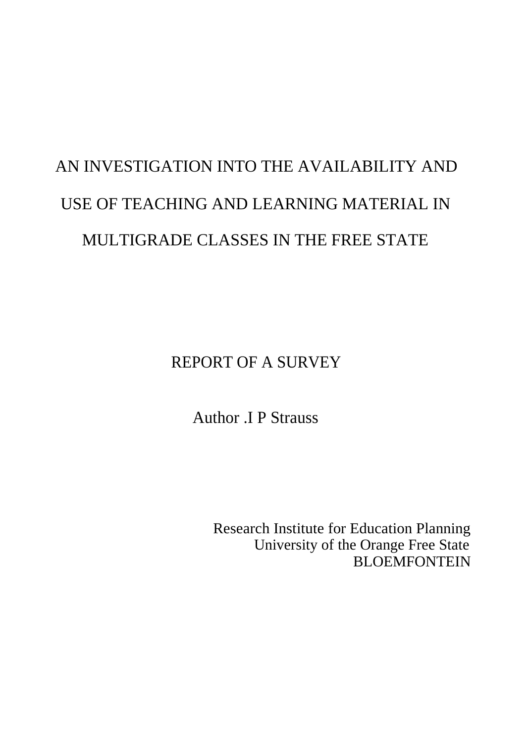# AN INVESTIGATION INTO THE AVAILABILITY AND USE OF TEACHING AND LEARNING MATERIAL IN MULTIGRADE CLASSES IN THE FREE STATE

REPORT OF A SURVEY

Author .I P Strauss

Research Institute for Education Planning University of the Orange Free State **BLOEMFONTEIN**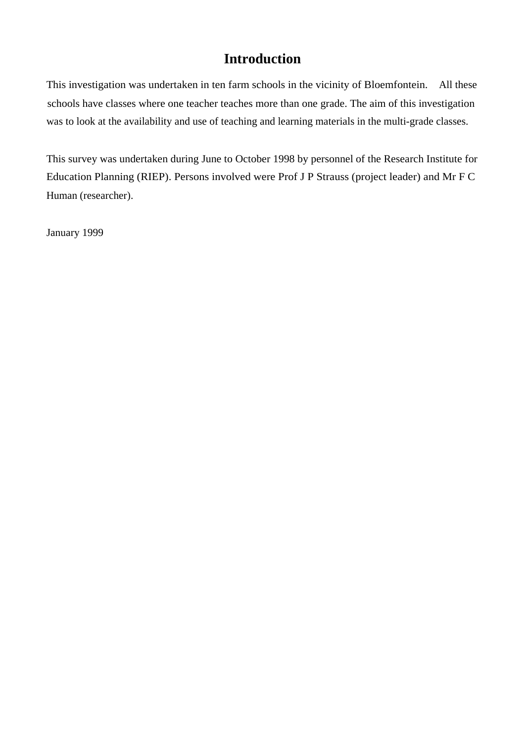# **Introduction**

This investigation was undertaken in ten farm schools in the vicinity of Bloemfontein. All these schools have classes where one teacher teaches more than one grade. The aim of this investigation was to look at the availability and use of teaching and learning materials in the multi-grade classes.

This survey was undertaken during June to October 1998 by personnel of the Research Institute for Education Planning (RIEP). Persons involved were Prof J P Strauss (project leader) and Mr F C Human (researcher).

January 1999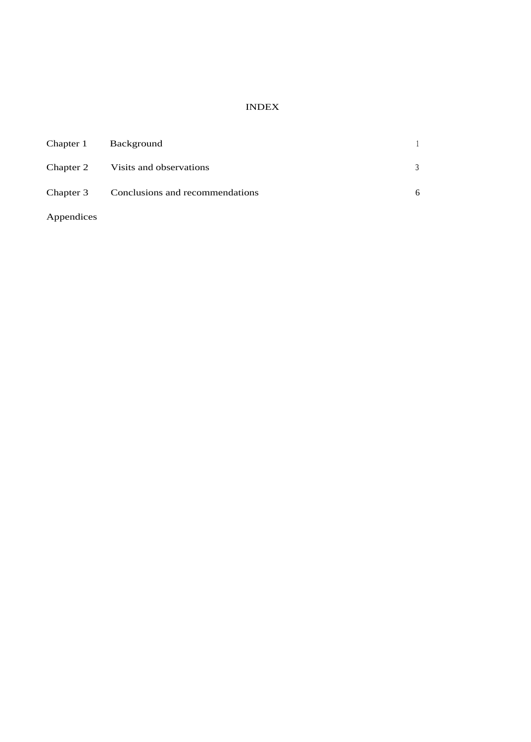#### INDEX

| Chapter 1  | Background                                |   |
|------------|-------------------------------------------|---|
|            | Chapter 2 Visits and observations         | 3 |
|            | Chapter 3 Conclusions and recommendations | 6 |
| Appendices |                                           |   |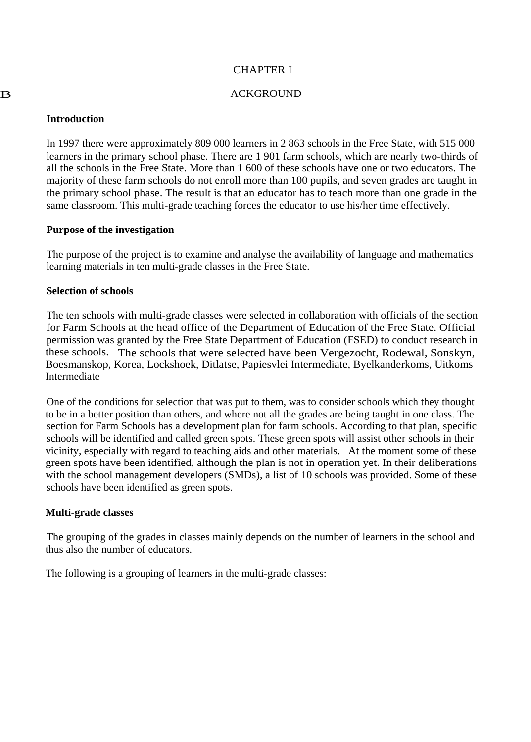#### CHAPTER I

#### B ACKGROUND

#### **Introduction**

In 1997 there were approximately 809 000 learners in 2 863 schools in the Free State, with 515 000 learners in the primary school phase. There are 1 901 farm schools, which are nearly two-thirds of all the schools in the Free State. More than 1 600 of these schools have one or two educators. The majority of these farm schools do not enroll more than 100 pupils, and seven grades are taught in the primary school phase. The result is that an educator has to teach more than one grade in the same classroom. This multi-grade teaching forces the educator to use his/her time effectively.

#### **Purpose of the investigation**

The purpose of the project is to examine and analyse the availability of language and mathematics learning materials in ten multi-grade classes in the Free State.

#### **Selection of schools**

The ten schools with multi-grade classes were selected in collaboration with officials of the section for Farm Schools at the head office of the Department of Education of the Free State. Official permission was granted by the Free State Department of Education (FSED) to conduct research in these schools. The schools that were selected have been Vergezocht, Rodewal, Sonskyn, Boesmanskop, Korea, Lockshoek, Ditlatse, Papiesvlei Intermediate, Byelkanderkoms, Uitkoms Intermediate

One of the conditions for selection that was put to them, was to consider schools which they thought to be in a better position than others, and where not all the grades are being taught in one class. The section for Farm Schools has a development plan for farm schools. According to that plan, specific schools will be identified and called green spots. These green spots will assist other schools in their vicinity, especially with regard to teaching aids and other materials. At the moment some of these green spots have been identified, although the plan is not in operation yet. In their deliberations with the school management developers (SMDs), a list of 10 schools was provided. Some of these schools have been identified as green spots.

#### **Multi-grade classes**

The grouping of the grades in classes mainly depends on the number of learners in the school and thus also the number of educators.

The following is a grouping of learners in the multi-grade classes: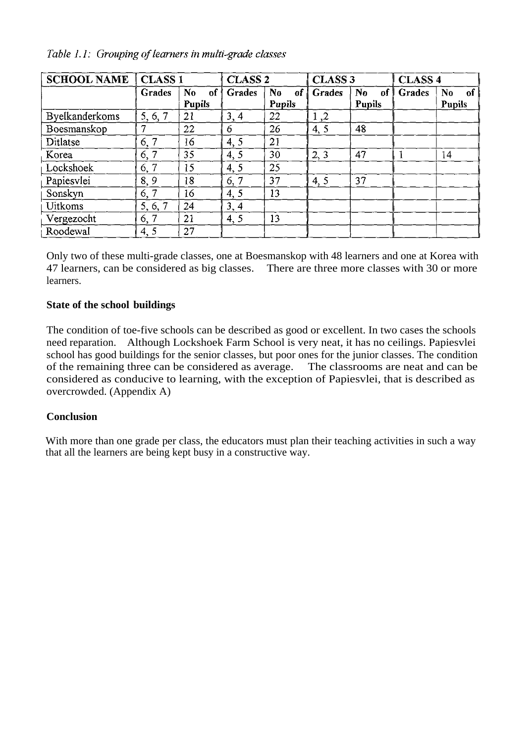| <b>SCHOOL NAME</b>    | <b>CLASS 1</b> |                                   | <b>CLASS 2</b> |                                 | <b>CLASS 3</b> |          | <b>CLASS 4</b> |                      |
|-----------------------|----------------|-----------------------------------|----------------|---------------------------------|----------------|----------|----------------|----------------------|
|                       | <b>Grades</b>  | N <sub>0</sub><br>of <sup>†</sup> | <b>Grades</b>  | $\mathbf{N}$ <sub>0</sub><br>of | <b>Grades</b>  | No<br>of | Grades         | N <sub>o</sub><br>of |
|                       |                | Pupils                            |                | <b>Pupils</b>                   |                | Pupils   |                | <b>Pupils</b>        |
| <b>Byelkanderkoms</b> | 5, 6, 7        | 21                                | 3, 4           | 22                              | 1,2            |          |                |                      |
| Boesmanskop           |                | 22                                | 6              | 26                              | 4, 5           | 48       |                |                      |
| Ditlatse              | 6, 7           | 16                                | 4, 5           | 21                              |                |          |                |                      |
| Korea                 | 6, 7           | 35                                | 4.5            | 30                              | 2, 3           | 47       |                | 14                   |
| Lockshoek             | 6, 7           | 15                                | 4, 5           | 25                              |                |          |                |                      |
| Papiesvlei            | 8,9            | 18                                | 6, 7           | 37                              | 4, 5           | 37       |                |                      |
| Sonskyn               | 6, 7           | 16                                | 4, 5           | 13                              |                |          |                |                      |
| <b>Uitkoms</b>        | 5, 6, 7        | 24                                | 3, 4           |                                 |                |          |                |                      |
| Vergezocht            | 6, 7           | 21                                | 4, 5           | 13                              |                |          |                |                      |
| Roodewal              | 4, 5           | 27                                |                |                                 |                |          |                |                      |

Table 1.1: Grouping of learners in multi-grade classes

Only two of these multi-grade classes, one at Boesmanskop with 48 learners and one at Korea with 47 learners, can be considered as big classes. There are three more classes with 30 or more learners.

# **State of the school buildings**

The condition of toe-five schools can be described as good or excellent. In two cases the schools need reparation. Although Lockshoek Farm School is very neat, it has no ceilings. Papiesvlei school has good buildings for the senior classes, but poor ones for the junior classes. The condition of the remaining three can be considered as average. The classrooms are neat and can be of the remaining three can be considered as average. considered as conducive to learning, with the exception of Papiesvlei, that is described as overcrowded. (Appendix A)

# **Conclusion**

With more than one grade per class, the educators must plan their teaching activities in such a way that all the learners are being kept busy in a constructive way.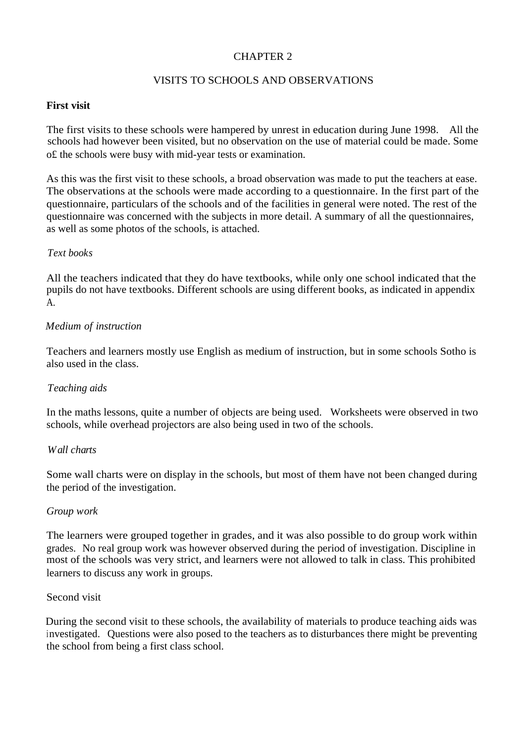# CHAPTER 2

# VISITS TO SCHOOLS AND OBSERVATIONS

## **First visit**

The first visits to these schools were hampered by unrest in education during June 1998. All the schools had however been visited, but no observation on the use of material could be made. Some o£ the schools were busy with mid-year tests or examination.

As this was the first visit to these schools, a broad observation was made to put the teachers at ease. The observations at the schools were made according to a questionnaire. In the first part of the questionnaire, particulars of the schools and of the facilities in general were noted. The rest of the questionnaire was concerned with the subjects in more detail. A summary of all the questionnaires, as well as some photos of the schools, is attached.

#### *Text books*

All the teachers indicated that they do have textbooks, while only one school indicated that the pupils do not have textbooks. Different schools are using different books, as indicated in appendix A.

#### *Medium of instruction*

Teachers and learners mostly use English as medium of instruction, but in some schools Sotho is also used in the class.

#### *Teaching aids*

In the maths lessons, quite a number of objects are being used. Worksheets were observed in two schools, while overhead projectors are also being used in two of the schools.

#### *Wall charts*

Some wall charts were on display in the schools, but most of them have not been changed during the period of the investigation.

#### *Group work*

The learners were grouped together in grades, and it was also possible to do group work within grades. No real group work was however observed during the period of investigation. Discipline in most of the schools was very strict, and learners were not allowed to talk in class. This prohibited learners to discuss any work in groups.

#### Second visit

During the second visit to these schools, the availability of materials to produce teaching aids was investigated. Questions were also posed to the teachers as to disturbances there might be preventing the school from being a first class school.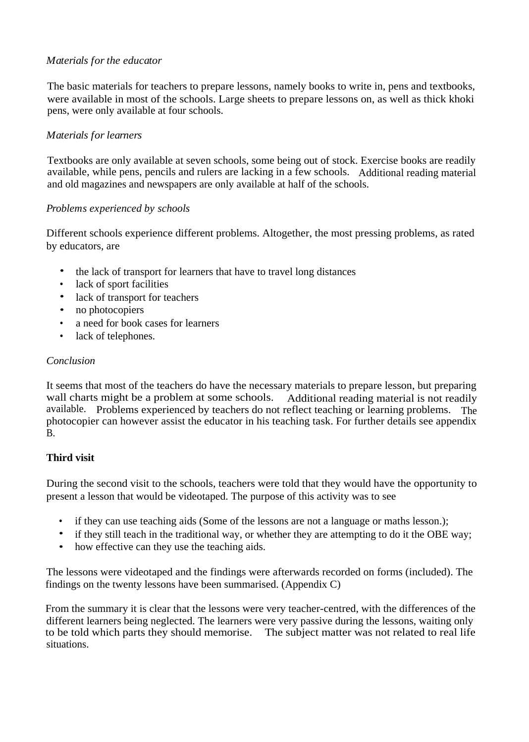# *Materials for the educator*

The basic materials for teachers to prepare lessons, namely books to write in, pens and textbooks, were available in most of the schools. Large sheets to prepare lessons on, as well as thick khoki pens, were only available at four schools.

# *Materials for learners*

Textbooks are only available at seven schools, some being out of stock. Exercise books are readily available, while pens, pencils and rulers are lacking in a few schools. Additional reading material and old magazines and newspapers are only available at half of the schools.

# *Problems experienced by schools*

Different schools experience different problems. Altogether, the most pressing problems, as rated by educators, are

- the lack of transport for learners that have to travel long distances
- lack of sport facilities
- lack of transport for teachers
- no photocopiers
- a need for book cases for learners
- lack of telephones.

# *Conclusion*

It seems that most of the teachers do have the necessary materials to prepare lesson, but preparing wall charts might be a problem at some schools. Additional reading material is not readily available. Problems experienced by teachers do not reflect teaching or learning problems. The photocopier can however assist the educator in his teaching task. For further details see appendix B.

# **Third visit**

During the second visit to the schools, teachers were told that they would have the opportunity to present a lesson that would be videotaped. The purpose of this activity was to see

- if they can use teaching aids (Some of the lessons are not a language or maths lesson.);
- if they still teach in the traditional way, or whether they are attempting to do it the OBE way;
- how effective can they use the teaching aids.

The lessons were videotaped and the findings were afterwards recorded on forms (included). The findings on the twenty lessons have been summarised. (Appendix C)

From the summary it is clear that the lessons were very teacher-centred, with the differences of the different learners being neglected. The learners were very passive during the lessons, waiting only to be told which parts they should memorise. The subject matter was not related to real life situations.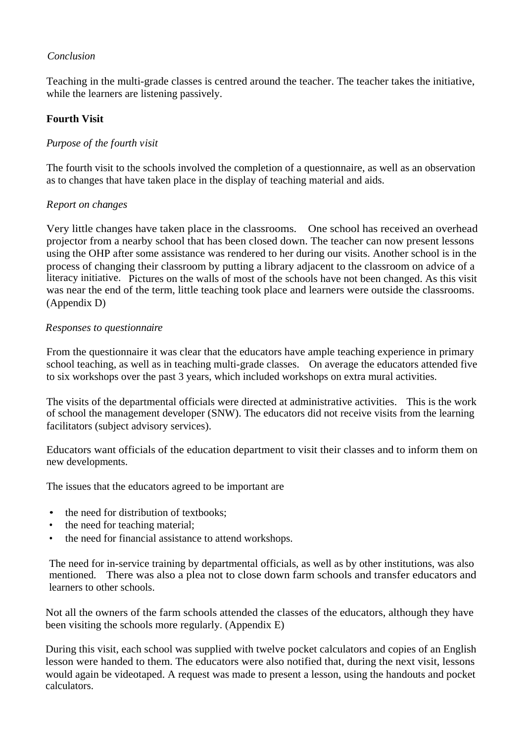# *Conclusion*

Teaching in the multi-grade classes is centred around the teacher. The teacher takes the initiative, while the learners are listening passively.

# **Fourth Visit**

# *Purpose of the fourth visit*

The fourth visit to the schools involved the completion of a questionnaire, as well as an observation as to changes that have taken place in the display of teaching material and aids.

#### *Report on changes*

Very little changes have taken place in the classrooms. One school has received an overhead projector from a nearby school that has been closed down. The teacher can now present lessons using the OHP after some assistance was rendered to her during our visits. Another school is in the process of changing their classroom by putting a library adjacent to the classroom on advice of a literacy initiative. Pictures on the walls of most of the schools have not been changed. As this visit was near the end of the term, little teaching took place and learners were outside the classrooms. (Appendix D)

#### *Responses to questionnaire*

From the questionnaire it was clear that the educators have ample teaching experience in primary school teaching, as well as in teaching multi-grade classes. On average the educators attended five to six workshops over the past 3 years, which included workshops on extra mural activities.

The visits of the departmental officials were directed at administrative activities. This is the work of school the management developer (SNW). The educators did not receive visits from the learning facilitators (subject advisory services).

Educators want officials of the education department to visit their classes and to inform them on new developments.

The issues that the educators agreed to be important are

- the need for distribution of textbooks;
- the need for teaching material;
- the need for financial assistance to attend workshops.

The need for in-service training by departmental officials, as well as by other institutions, was also mentioned. There was also a plea not to close down farm schools and transfer educators and learners to other schools.

Not all the owners of the farm schools attended the classes of the educators, although they have been visiting the schools more regularly. (Appendix E)

During this visit, each school was supplied with twelve pocket calculators and copies of an English lesson were handed to them. The educators were also notified that, during the next visit, lessons would again be videotaped. A request was made to present a lesson, using the handouts and pocket calculators.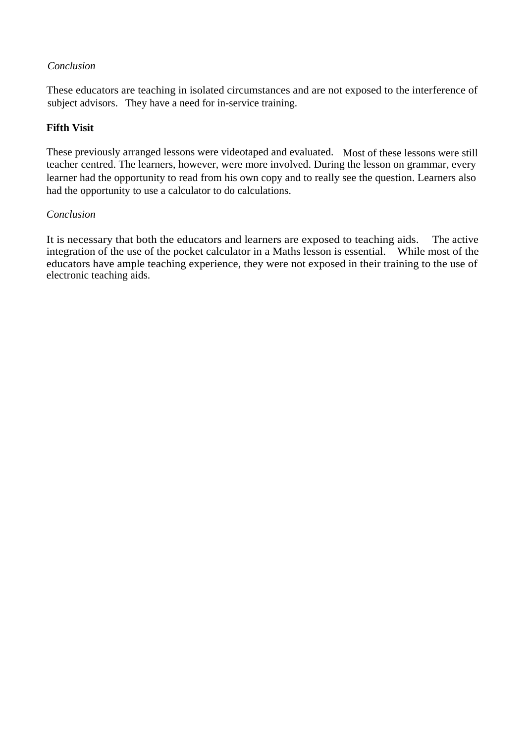# *Conclusion*

These educators are teaching in isolated circumstances and are not exposed to the interference of subject advisors. They have a need for in-service training.

# **Fifth Visit**

These previously arranged lessons were videotaped and evaluated. Most of these lessons were still teacher centred. The learners, however, were more involved. During the lesson on grammar, every learner had the opportunity to read from his own copy and to really see the question. Learners also had the opportunity to use a calculator to do calculations.

# *Conclusion*

It is necessary that both the educators and learners are exposed to teaching aids. The active integration of the use of the pocket calculator in a Maths lesson is essential. While most of the educators have ample teaching experience, they were not exposed in their training to the use of electronic teaching aids.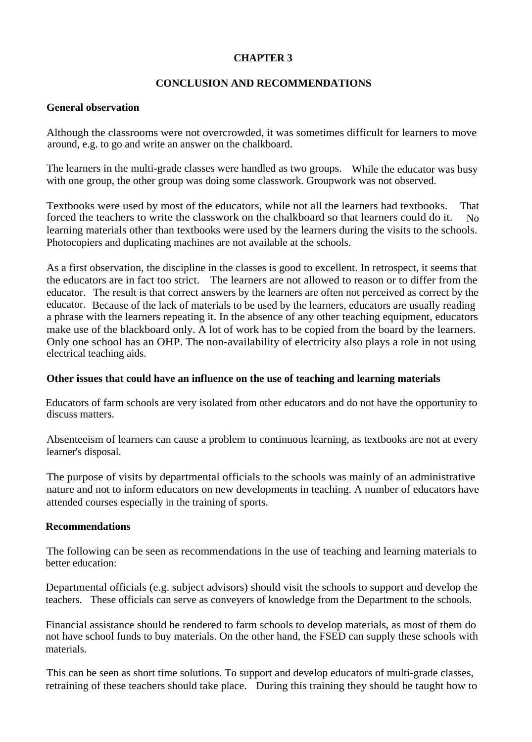# **CHAPTER 3**

# **CONCLUSION AND RECOMMENDATIONS**

#### **General observation**

Although the classrooms were not overcrowded, it was sometimes difficult for learners to move around, e.g. to go and write an answer on the chalkboard.

The learners in the multi-grade classes were handled as two groups. While the educator was busy with one group, the other group was doing some classwork. Groupwork was not observed.

Textbooks were used by most of the educators, while not all the learners had textbooks. That forced the teachers to write the classwork on the chalkboard so that learners could do it. No learning materials other than textbooks were used by the learners during the visits to the schools. Photocopiers and duplicating machines are not available at the schools.

As a first observation, the discipline in the classes is good to excellent. In retrospect, it seems that the educators are in fact too strict. The learners are not allowed to reason or to differ from the educator. The result is that correct answers by the learners are often not perceived as correct by the educator. Because of the lack of materials to be used by the learners, educators are usually reading a phrase with the learners repeating it. In the absence of any other teaching equipment, educators make use of the blackboard only. A lot of work has to be copied from the board by the learners. Only one school has an OHP. The non-availability of electricity also plays a role in not using electrical teaching aids.

#### **Other issues that could have an influence on the use of teaching and learning materials**

Educators of farm schools are very isolated from other educators and do not have the opportunity to discuss matters.

Absenteeism of learners can cause a problem to continuous learning, as textbooks are not at every learner's disposal.

The purpose of visits by departmental officials to the schools was mainly of an administrative nature and not to inform educators on new developments in teaching. A number of educators have attended courses especially in the training of sports.

#### **Recommendations**

The following can be seen as recommendations in the use of teaching and learning materials to better education:

Departmental officials (e.g. subject advisors) should visit the schools to support and develop the teachers. These officials can serve as conveyers of knowledge from the Department to the schools.

Financial assistance should be rendered to farm schools to develop materials, as most of them do not have school funds to buy materials. On the other hand, the FSED can supply these schools with materials.

This can be seen as short time solutions. To support and develop educators of multi-grade classes, retraining of these teachers should take place. During this training they should be taught how to